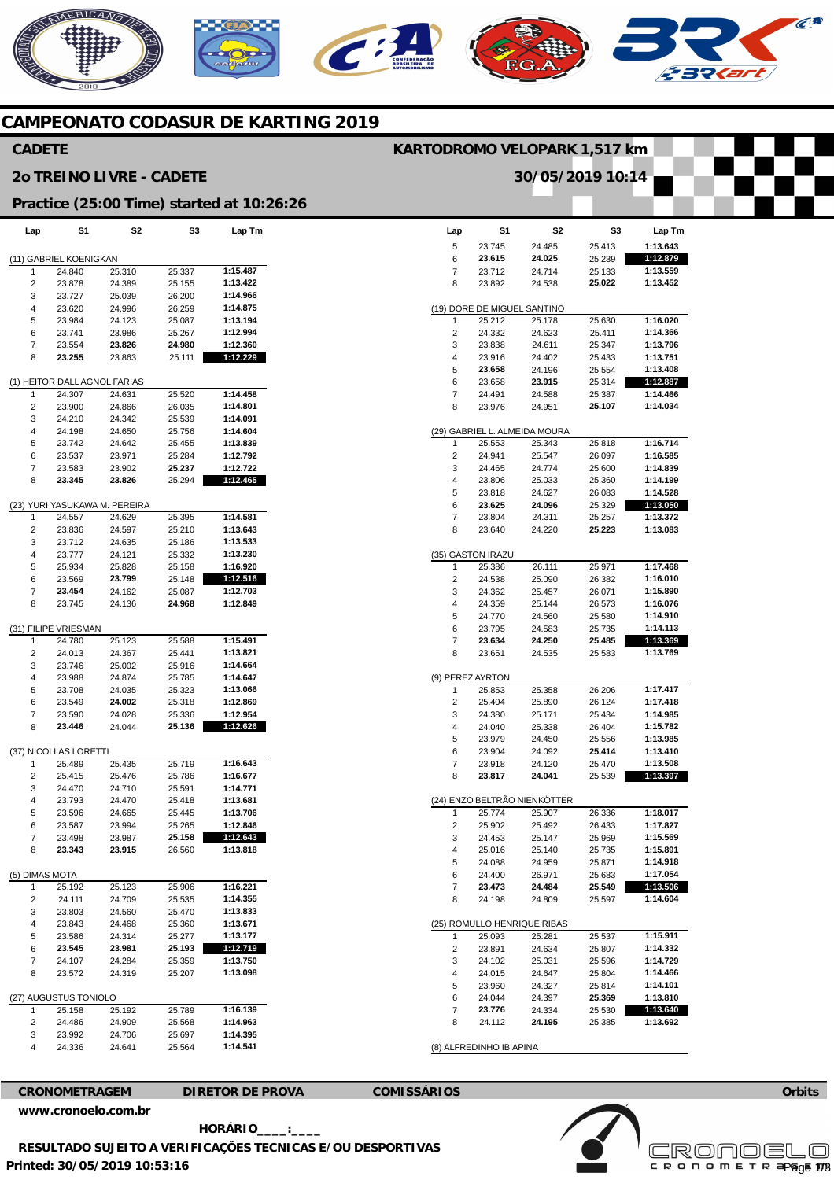### NERICANO  $\widehat{C}^{A}$  $\mathcal{C}$

#### **CAMPEONATO CODASUR DE KARTING 2019**

#### **CADETE**

#### **2o TREINO LIVRE - CADETE**

### **KARTODROMO VELOPARK 1,517 km**

**30/05/2019 10:14** 

|  | Practice (25:00 Time) started at 10:26:26 |  |
|--|-------------------------------------------|--|

| Lap            | S1                           | S2                       | S3               | Lap Tm               |
|----------------|------------------------------|--------------------------|------------------|----------------------|
|                | (11) GABRIEL KOENIGKAN       |                          |                  |                      |
| 1              | 24.840                       | 25.310                   | 25.337           | 1:15.487             |
| 2              | 23.878                       | 24.389                   | 25.155           | 1:13.422             |
| 3              | 23.727                       | 25.039                   | 26.200           | 1:14.966             |
| 4              | 23.620                       | 24.996                   | 26.259           | 1:14.875             |
| 5              | 23.984                       | 24.123                   | 25.087           | 1:13.194             |
| 6              | 23.741                       | 23.986                   | 25.267           | 1:12.994             |
| 7              | 23.554                       | 23.826                   | 24.980           | 1:12.360             |
| 8              | 23.255                       | 23.863                   | 25.111           | 1:12.229             |
|                | (1) HEITOR DALL AGNOL FARIAS |                          |                  |                      |
| 1              | 24.307                       | 24.631                   | 25.520           | 1:14.458             |
| 2              | 23.900                       | 24.866                   | 26.035           | 1:14.801             |
| 3              | 24.210                       | 24.342                   | 25.539           | 1:14.091             |
| 4              | 24.198                       | 24.650                   | 25.756           | 1:14.604             |
| 5              | 23.742                       | 24.642                   | 25.455           | 1:13.839             |
| 6              | 23.537                       | 23.971                   | 25.284           | 1:12.792             |
| 7              | 23.583                       | 23.902                   | 25.237           | 1:12.722             |
| 8              | 23.345                       | 23.826                   | 25.294           | 1:12.465             |
| (23)           |                              | YURI YASUKAWA M. PEREIRA |                  |                      |
| 1              | 24.557                       | 24.629                   | 25.395           | 1:14.581             |
| 2              | 23.836                       | 24.597                   | 25.210           | 1:13.643             |
| 3              | 23.712                       | 24.635                   | 25.186           | 1:13.533             |
| 4              | 23.777                       | 24.121                   | 25.332           | 1:13.230             |
| 5              | 25.934                       | 25.828                   | 25.158           | 1:16.920             |
| 6              | 23.569                       | 23.799                   | 25.148           | 1:12.516             |
| 7              | 23.454                       | 24.162                   | 25.087           | 1:12.703             |
| 8              | 23.745                       | 24.136                   | 24.968           | 1:12.849             |
|                | (31) FILIPE VRIESMAN         |                          |                  |                      |
| 1              | 24.780                       | 25.123                   | 25.588           | 1:15.491             |
| 2              | 24.013                       | 24.367                   | 25.441           | 1:13.821             |
| 3              | 23.746                       | 25.002                   | 25.916           | 1:14.664             |
| 4              | 23.988                       | 24.874                   | 25.785           | 1:14.647             |
| 5              | 23.708                       | 24.035                   | 25.323           | 1:13.066             |
| 6              | 23.549                       | 24.002                   | 25.318           | 1:12.869<br>1:12.954 |
| 7<br>8         | 23.590<br>23.446             | 24.028<br>24.044         | 25.336<br>25.136 | 1:12.626             |
|                |                              |                          |                  |                      |
|                | (37) NICOLLAS LORETTI        |                          |                  |                      |
| 1              | 25.489                       | 25.435                   | 25.719           | 1:16.643             |
| 2              | 25.415                       | 25.476                   | 25.786           | 1:16.677             |
| 3              | 24.470                       | 24.710                   | 25.591           | 1:14.771             |
| 4              | 23.793                       | 24.470                   | 25.418           | 1:13.681<br>1:13.706 |
| 5              | 23.596                       | 24.665<br>23.994         | 25.445<br>25.265 | 1:12.846             |
| 6<br>7         | 23.587<br>23.498             | 23.987                   | 25.158           | 1:12.643             |
| 8              | 23.343                       | 23.915                   | 26.560           | 1:13.818             |
|                |                              |                          |                  |                      |
| (5) DIMAS MOTA |                              |                          |                  |                      |
| 1              | 25.192                       | 25.123                   | 25.906           | 1:16.221             |
| 2              | 24.111                       | 24.709                   | 25.535           | 1:14.355             |
| 3              | 23.803                       | 24.560                   | 25.470           | 1:13.833             |
| 4              | 23.843                       | 24.468                   | 25.360           | 1:13.671             |
| 5              | 23.586                       | 24.314                   | 25.277           | 1:13.177             |
| 6              | 23.545                       | 23.981                   | 25.193           | 1:12.719<br>1:13.750 |
| 7              | 24.107                       | 24.284                   | 25.359           |                      |
| 8              | 23.572                       | 24.319                   | 25.207           | 1:13.098             |
|                | (27) AUGUSTUS TONIOLO        |                          |                  |                      |
| 1              | 25.158                       | 25.192                   | 25.789           | 1:16.139             |
| 2              | 24.486                       | 24.909                   | 25.568           | 1:14.963             |
| 3              | 23.992                       | 24.706                   | 25.697           | 1:14.395             |
| 4              | 24.336                       | 24.641                   | 25.564           | 1:14.541             |

| Lap              | S1                          | S2                                     | S3               | Lap Tm               |
|------------------|-----------------------------|----------------------------------------|------------------|----------------------|
| 5                | 23.745                      | 24.485                                 | 25.413           | 1:13.643             |
| 6                | 23.615                      | 24.025                                 | 25.239           | 1:12.879             |
| 7                | 23.712                      | 24.714                                 | 25.133           | 1:13.559             |
| 8                | 23.892                      | 24.538                                 | 25.022           | 1:13.452             |
|                  |                             |                                        |                  |                      |
|                  | (19) DORE DE MIGUEL SANTINO |                                        |                  |                      |
| 1                | 25.212                      | 25.178                                 | 25.630           | 1:16.020             |
| 2                | 24.332                      | 24.623                                 | 25.411           | 1:14.366             |
| 3                | 23.838                      | 24.611                                 | 25.347           | 1:13.796             |
| 4                | 23.916                      | 24.402                                 | 25.433           | 1:13.751             |
| 5                | 23.658                      | 24.196                                 | 25.554           | 1:13.408             |
| 6                | 23.658<br>24.491            | 23.915                                 | 25.314           | 1:12.887             |
| 7                |                             | 24.588                                 | 25.387           | 1:14.466<br>1:14.034 |
| 8                | 23.976                      | 24.951                                 | 25.107           |                      |
|                  |                             | (29) GABRIEL L. ALMEIDA MOURA          |                  |                      |
| 1                | 25.553                      | 25.343                                 | 25.818           | 1:16.714             |
| 2                | 24.941                      | 25.547                                 | 26.097           | 1:16.585             |
| 3                | 24.465                      | 24.774                                 | 25.600           | 1:14.839             |
| 4                | 23.806                      | 25.033                                 | 25.360           | 1:14.199             |
| 5                | 23.818                      | 24.627                                 | 26.083           | 1:14.528             |
| 6                | 23.625                      | 24.096                                 | 25.329           | 1:13.050             |
| 7                | 23.804                      | 24.311                                 | 25.257           | 1:13.372             |
| 8                | 23.640                      | 24.220                                 | 25.223           | 1:13.083             |
|                  |                             |                                        |                  |                      |
|                  | (35) GASTON IRAZU           |                                        |                  |                      |
| 1                | 25.386                      | 26.111                                 | 25.971           | 1:17.468             |
| 2                | 24.538                      | 25.090                                 | 26.382           | 1:16.010<br>1:15.890 |
| 3<br>4           | 24.362<br>24.359            | 25.457<br>25.144                       | 26.071           | 1:16.076             |
|                  | 24.770                      |                                        | 26.573           | 1:14.910             |
| 5<br>6           | 23.795                      | 24.560<br>24.583                       | 25.580           | 1:14.113             |
| 7                | 23.634                      | 24.250                                 | 25.735<br>25.485 | 1:13.369             |
| 8                | 23.651                      | 24.535                                 | 25.583           | 1:13.769             |
|                  |                             |                                        |                  |                      |
| (9) PEREZ AYRTON |                             |                                        |                  |                      |
| 1                | 25.853                      | 25.358                                 | 26.206           | 1:17.417             |
| 2                | 25.404                      | 25.890                                 | 26.124           | 1:17.418             |
| 3                | 24.380                      | 25.171                                 | 25.434           | 1:14.985             |
| 4                | 24.040                      | 25.338                                 | 26.404           | 1:15.782             |
| 5                | 23.979                      | 24.450                                 | 25.556           | 1:13.985             |
| 6                | 23.904                      | 24.092                                 | 25.414           | 1:13.410             |
| 7                | 23.918                      | 24.120                                 | 25.470           | 1:13.508             |
| 8                | 23.817                      | 24.041                                 | 25.539           | 1:13.397             |
|                  |                             |                                        |                  |                      |
| 1                | 25.774                      | (24) ENZO BELTRÃO NIENKÖTTER<br>25.907 | 26.336           | 1:18.017             |
| 2                | 25.902                      | 25.492                                 | 26.433           | 1:17.827             |
| 3                | 24.453                      | 25.147                                 | 25.969           | 1:15.569             |
| 4                | 25.016                      | 25.140                                 | 25.735           | 1:15.891             |
| 5                | 24.088                      | 24.959                                 | 25.871           | 1:14.918             |
| 6                | 24.400                      | 26.971                                 | 25.683           | 1:17.054             |
| 7                | 23.473                      | 24.484                                 | 25.549           | 1:13.506             |
| 8                | 24.198                      | 24.809                                 | 25.597           | 1:14.604             |
|                  |                             |                                        |                  |                      |
|                  | (25) ROMULLO HENRIQUE RIBAS |                                        |                  |                      |
| 1                | 25.093                      | 25.281                                 | 25.537           | 1:15.911             |
| 2                | 23.891                      | 24.634                                 | 25.807           | 1:14.332             |
| 3                | 24.102                      | 25.031                                 | 25.596           | 1:14.729             |
| 4                | 24.015                      | 24.647                                 | 25.804           | 1:14.466             |
| 5                | 23.960                      | 24.327                                 | 25.814           | 1:14.101             |
| 6<br>7           | 24.044<br>23.776            | 24.397                                 | 25.369<br>25.530 | 1:13.810<br>1:13.640 |
| 8                | 24.112                      | 24.334<br>24.195                       | 25.385           | 1:13.692             |
|                  |                             |                                        |                  |                      |
|                  | (8) ALFREDINHO IBIAPINA     |                                        |                  |                      |

#### **CRONOMETRAGEM DIRETOR DE PROVA COMISSÁRIOS**

**[www.cronoelo.com.br](http://www.cronoelo.com.br)** 



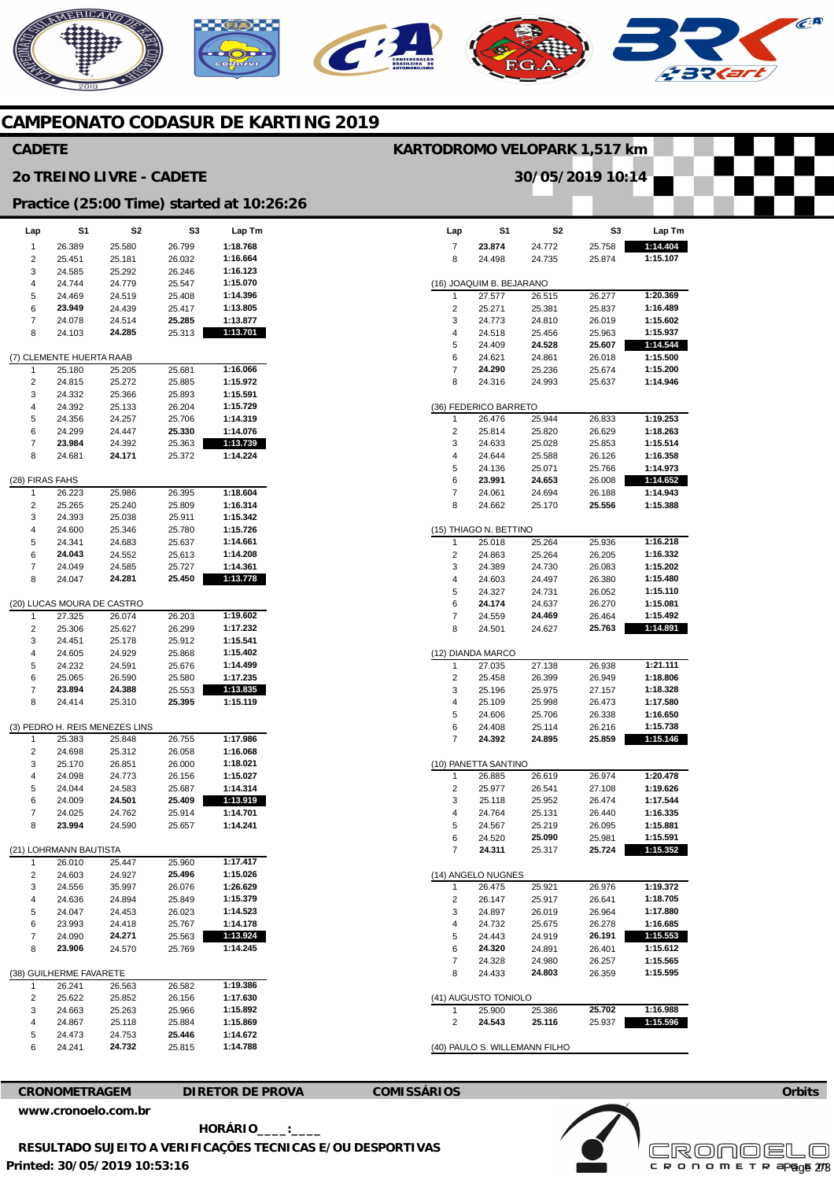# **MERICANO**  $\widehat{\epsilon^A}$

#### **CAMPEONATO CODASUR DE KARTING 2019**

#### **Lap**  7 <sub>8</sub> (16) JOAQUIM B. BEJARANO 1  $\overline{2}$ 3 4 5 6 7 8 (36) FEDERICO BARRETO 1 2 3 4 5 6 7 8 (15) THIAGO N. BETTINO 1 2 3 4 5 6 7 8 (12) DIANDA MARCO 1 2 3 4 5 6 7 (10) PANETTA SANTINO 1  $\overline{2}$ 3 4 5 6 7 (14) ANGELO NUGNES 1  $\overline{2}$ 3 4 5 6 7 8 (41) AUGUSTO TONIOLO 1 2 (40) PAULO S. WILLEMANN FILHO **S1 23.874**  24.498 27.577 25.271 24.773 24.518 24.409 24.621 **24.290**  24.316 26.476 25.814 24.633 24.644 24.136 **23.991**  24.061 24.662 25.018 24.863 24.389 24.603 24.327 **24.174**  24.559 24.501 27.035 25.458 25.196 25.109 24.606 24.408 **24.392**  26.885 25.977 25.118 24.764 24.567 24.520 **24.311**  26.475 26.147 24.897 24.732 24.443 **24.320**  24.328 24.433 25.900 **24.543 S2**  24.772 24.735 26.515 25.381 24.810 25.456 **24.528**  24.861 25.236 24.993 25.944 25.820 25.028 25.588 25.071 **24.653**  24.694 25.170 25.264 25.264 24.730 24.497 24.731 24.637 **24.469**  24.627 27.138 26.399 25.975 25.998 25.706 25.114 **24.895**  26.619 26.541 25.952 25.131 25.219 **25.090**  25.317 25.921 25.917 26.019 25.675 24.919 24.891 24.980 **24.803**  25.386 **25.116 S3**  25.758 25.874 26.277 25.837 26.019 25.963 **25.607**  26.018 25.674 25.637 26.833 26.629 25.853 26.126 25.766 26.008 26.188 **25.556**  25.936 26.205 26.083 26.380 26.052 26.270 26.464 **25.763**  26.938 26.949 27.157 26.473 26.338 26.216 **25.859**  26.974 27.108 26.474 26.440 26.095 25.981 **25.724**  26.976 26.641 26.964 26.278 **26.191**  26.401 26.257 26.359 **25.702**  25.937 **Lap Tm 1:14.404 1:15.107 1:20.369 1:16.489 1:15.602 1:15.937 1:14.544 1:15.500 1:15.200 1:14.946 1:19.253 1:18.263 1:15.514 1:16.358 1:14.973 1:14.652 1:14.943 1:15.388 1:16.218 1:16.332 1:15.202 1:15.480 1:15.110 1:15.081 1:15.492 1:14.891 1:21.111 1:18.806 1:18.328 1:17.580 1:16.650 1:15.738 1:15.146 1:20.478 1:19.626 1:17.544 1:16.335 1:15.881 1:15.591 1:15.352 1:19.372 1:18.705 1:17.880 1:16.685 1:15.553 1:15.612 1:15.565 1:15.595 1:16.988 1:15.596 Lap**  1  $\overline{2}$ 3 4 5 6 7 8 (7) CLEMENTE HUERTA RAAB 1 2 3 4 5 6 7 8 (28) FIRAS FAHS 1  $\mathcal{L}$ 3 4 5 6 7 8 (20) LUCAS MOURA DE CASTRO 1  $\overline{2}$ 3 4 5 6 7 8 (3) PEDRO H. REIS MENEZES LINS 1  $\overline{2}$ 3 4 5 6 7 8 (21) LOHRMANN BAUTISTA 1  $\overline{2}$  $\overline{a}$ 4 5 6 7 8 (38) GUILHERME FAVARETE  $\overline{1}$ 2 3 4 5 6 **S1**  26.389 25.451 24.585 24.744 24.469 **23.949**  24.078 24.103 25.180 24.815 24.332 24.392 24.356 24.299 **23.984**  24.681 26.223 25.265 24.393 24.600 24.341 **24.043**  24.049 24.047 27.325 25.306 24.451 24.605 24.232 25.065 **23.894**  24.414 25.383 24.698 25.170 24.098 24.044 24.009 24.025 **23.994**  26.010 24.603 24.556 24.636 24.047 23.993 24.090 **23.906**  26.241 25.622 24.663 24.867 24.473 24.241 **S2**  25.580 25.181 25.292 24.779 24.519 24.439 24.514 **24.285**  25.205 25.272 25.366 25.133 24.257 24.447 24.392 **24.171**  25.986 25.240 25.038 25.346 24.683 24.552 24.585 **24.281**  26.074 25.627 25.178 24.929 24.591 26.590 **24.388**  25.310 25.848 25.312 26.851 24.773 24.583 **24.501**  24.762 24.590 25.447 24.927 35.997 24.894 24.453 24.418 **24.271**  24.570 26.563 25.852 25.263 25.118 24.753 **24.732 S3**  26.799 26.032 26.246 25.547 25.408 25.417 **25.285**  25.313 25.681 25.885 25.893 26.204 25.706 **25.330**  25.363 25.372 26.395 25.809 25.911 25.780 25.637 25.613 25.727 **25.450**  26.203 26.299 25.912 25.868 25.676 25.580 25.553 **25.395**  26.755 26.058 26.000 26.156 25.687 **25.409**  25.914 25.657 25.960 **25.496**  26.076 25.849 26.023 25.767 25.563 25.769 26.582 26.156 25.966 25.884 **25.446**  25.815 **Lap Tm 1:18.768 1:16.664 1:16.123 1:15.070 1:14.396 1:13.805 1:13.877 1:13.701 1:16.066 1:15.972 1:15.591 1:15.729 1:14.319 1:14.076 1:13.739 1:14.224 1:18.604 1:16.314 1:15.342 1:15.726 1:14.661 1:14.208 1:14.361 1:13.778 1:19.602 1:17.232 1:15.541 1:15.402 1:14.499 1:17.235 1:13.835 1:15.119 1:17.986 1:16.068 1:18.021 1:15.027 1:14.314 1:13.919 1:14.701 1:14.241 1:17.417 1:15.026 1:26.629 1:15.379 1:14.523 1:14.178 1:13.924 1:14.245 1:19.386 1:17.630 1:15.892 1:15.869 1:14.672 1:14.788 CADETE 2o TREINO LIVRE - CADETE Practice (25:00 Time) started at 10:26:26 KARTODROMO VELOPARK 1,517 km 30/05/2019 10:14**

**CRONOMETRAGEM DIRETOR DE PROVA COMISSÁRIOS** 

**[www.cronoelo.com.br](http://www.cronoelo.com.br)** 

 **HORÁRIO\_\_\_\_:\_\_\_\_** 

**Printed: 30/05/2019 10:53:16 RESULTADO SUJEITO A VERIFICAÇÕES TECNICAS E/OU DESPORTIVAS**  **Orbits** 

**Licensed to: Cronoelo** 

c R O N O M E T R apg<sub>o</sub>e 273